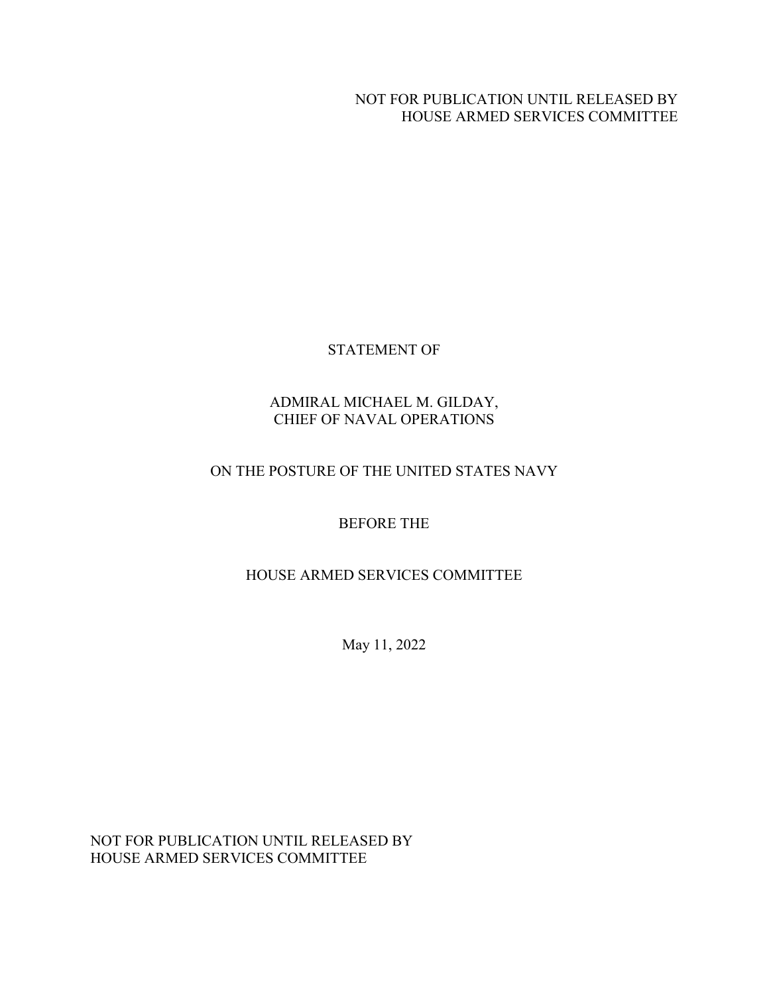#### NOT FOR PUBLICATION UNTIL RELEASED BY HOUSE ARMED SERVICES COMMITTEE

### STATEMENT OF

### ADMIRAL MICHAEL M. GILDAY, CHIEF OF NAVAL OPERATIONS

### ON THE POSTURE OF THE UNITED STATES NAVY

### BEFORE THE

### HOUSE ARMED SERVICES COMMITTEE

May 11, 2022

NOT FOR PUBLICATION UNTIL RELEASED BY HOUSE ARMED SERVICES COMMITTEE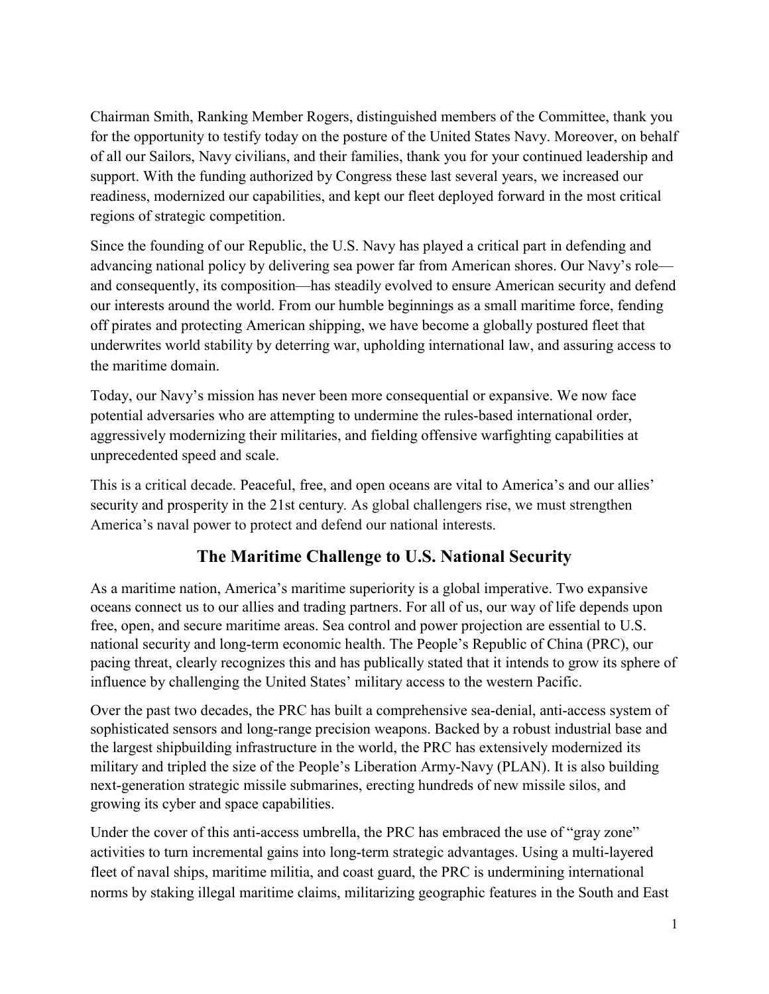Chairman Smith, Ranking Member Rogers, distinguished members of the Committee, thank you for the opportunity to testify today on the posture of the United States Navy. Moreover, on behalf of all our Sailors, Navy civilians, and their families, thank you for your continued leadership and support. With the funding authorized by Congress these last several years, we increased our readiness, modernized our capabilities, and kept our fleet deployed forward in the most critical regions of strategic competition.

Since the founding of our Republic, the U.S. Navy has played a critical part in defending and advancing national policy by delivering sea power far from American shores. Our Navy's role and consequently, its composition—has steadily evolved to ensure American security and defend our interests around the world. From our humble beginnings as a small maritime force, fending off pirates and protecting American shipping, we have become a globally postured fleet that underwrites world stability by deterring war, upholding international law, and assuring access to the maritime domain.

Today, our Navy's mission has never been more consequential or expansive. We now face potential adversaries who are attempting to undermine the rules-based international order, aggressively modernizing their militaries, and fielding offensive warfighting capabilities at unprecedented speed and scale.

This is a critical decade. Peaceful, free, and open oceans are vital to America's and our allies' security and prosperity in the 21st century*.* As global challengers rise, we must strengthen America's naval power to protect and defend our national interests.

## **The Maritime Challenge to U.S. National Security**

As a maritime nation, America's maritime superiority is a global imperative. Two expansive oceans connect us to our allies and trading partners. For all of us, our way of life depends upon free, open, and secure maritime areas. Sea control and power projection are essential to U.S. national security and long-term economic health. The People's Republic of China (PRC), our pacing threat, clearly recognizes this and has publically stated that it intends to grow its sphere of influence by challenging the United States' military access to the western Pacific.

Over the past two decades, the PRC has built a comprehensive sea-denial, anti-access system of sophisticated sensors and long-range precision weapons. Backed by a robust industrial base and the largest shipbuilding infrastructure in the world, the PRC has extensively modernized its military and tripled the size of the People's Liberation Army-Navy (PLAN). It is also building next-generation strategic missile submarines, erecting hundreds of new missile silos, and growing its cyber and space capabilities.

Under the cover of this anti-access umbrella, the PRC has embraced the use of "gray zone" activities to turn incremental gains into long-term strategic advantages. Using a multi-layered fleet of naval ships, maritime militia, and coast guard, the PRC is undermining international norms by staking illegal maritime claims, militarizing geographic features in the South and East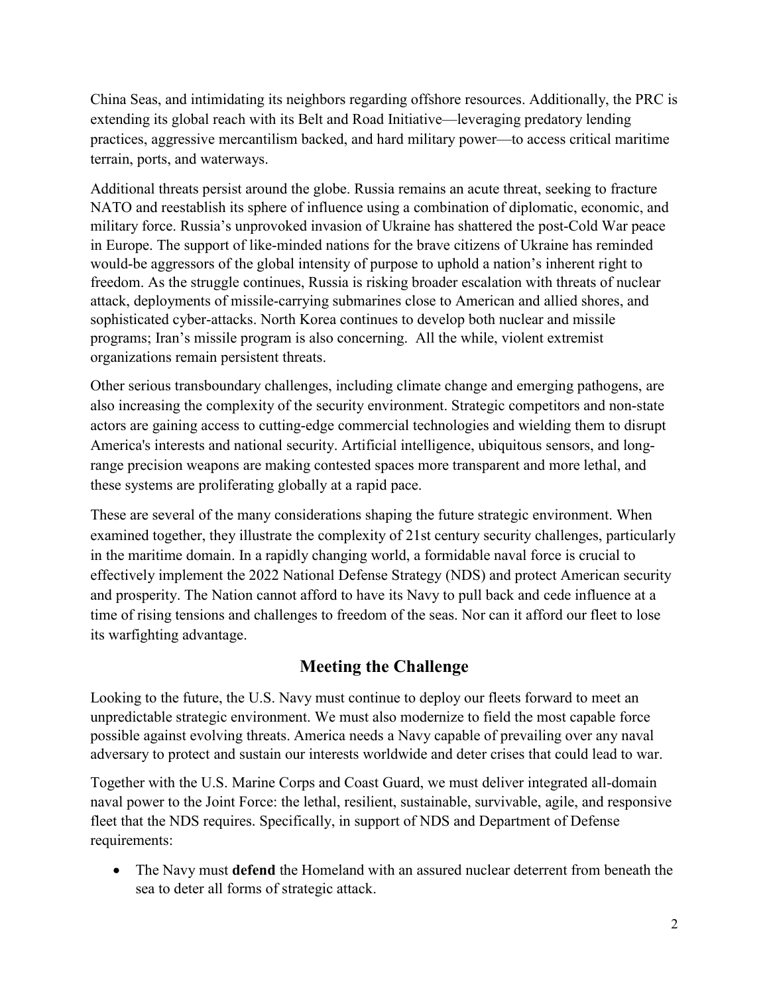China Seas, and intimidating its neighbors regarding offshore resources. Additionally, the PRC is extending its global reach with its Belt and Road Initiative—leveraging predatory lending practices, aggressive mercantilism backed, and hard military power—to access critical maritime terrain, ports, and waterways.

Additional threats persist around the globe. Russia remains an acute threat, seeking to fracture NATO and reestablish its sphere of influence using a combination of diplomatic, economic, and military force. Russia's unprovoked invasion of Ukraine has shattered the post-Cold War peace in Europe. The support of like-minded nations for the brave citizens of Ukraine has reminded would-be aggressors of the global intensity of purpose to uphold a nation's inherent right to freedom. As the struggle continues, Russia is risking broader escalation with threats of nuclear attack, deployments of missile-carrying submarines close to American and allied shores, and sophisticated cyber-attacks. North Korea continues to develop both nuclear and missile programs; Iran's missile program is also concerning. All the while, violent extremist organizations remain persistent threats.

Other serious transboundary challenges, including climate change and emerging pathogens, are also increasing the complexity of the security environment. Strategic competitors and non-state actors are gaining access to cutting-edge commercial technologies and wielding them to disrupt America's interests and national security. Artificial intelligence, ubiquitous sensors, and longrange precision weapons are making contested spaces more transparent and more lethal, and these systems are proliferating globally at a rapid pace.

These are several of the many considerations shaping the future strategic environment. When examined together, they illustrate the complexity of 21st century security challenges, particularly in the maritime domain. In a rapidly changing world, a formidable naval force is crucial to effectively implement the 2022 National Defense Strategy (NDS) and protect American security and prosperity. The Nation cannot afford to have its Navy to pull back and cede influence at a time of rising tensions and challenges to freedom of the seas. Nor can it afford our fleet to lose its warfighting advantage.

## **Meeting the Challenge**

Looking to the future, the U.S. Navy must continue to deploy our fleets forward to meet an unpredictable strategic environment. We must also modernize to field the most capable force possible against evolving threats. America needs a Navy capable of prevailing over any naval adversary to protect and sustain our interests worldwide and deter crises that could lead to war.

Together with the U.S. Marine Corps and Coast Guard, we must deliver integrated all-domain naval power to the Joint Force: the lethal, resilient, sustainable, survivable, agile, and responsive fleet that the NDS requires. Specifically, in support of NDS and Department of Defense requirements:

• The Navy must **defend** the Homeland with an assured nuclear deterrent from beneath the sea to deter all forms of strategic attack.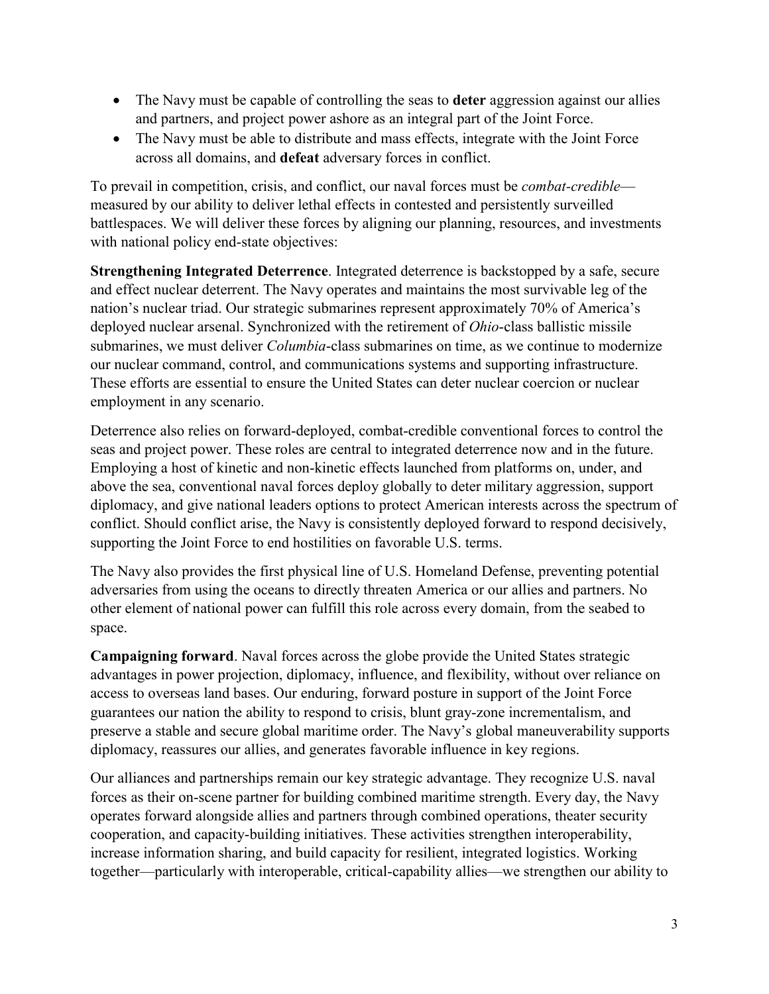- The Navy must be capable of controlling the seas to **deter** aggression against our allies and partners, and project power ashore as an integral part of the Joint Force.
- The Navy must be able to distribute and mass effects, integrate with the Joint Force across all domains, and **defeat** adversary forces in conflict.

To prevail in competition, crisis, and conflict, our naval forces must be *combat-credible* measured by our ability to deliver lethal effects in contested and persistently surveilled battlespaces. We will deliver these forces by aligning our planning, resources, and investments with national policy end-state objectives:

**Strengthening Integrated Deterrence**. Integrated deterrence is backstopped by a safe, secure and effect nuclear deterrent. The Navy operates and maintains the most survivable leg of the nation's nuclear triad. Our strategic submarines represent approximately 70% of America's deployed nuclear arsenal. Synchronized with the retirement of *Ohio*-class ballistic missile submarines, we must deliver *Columbia*-class submarines on time, as we continue to modernize our nuclear command, control, and communications systems and supporting infrastructure. These efforts are essential to ensure the United States can deter nuclear coercion or nuclear employment in any scenario.

Deterrence also relies on forward-deployed, combat-credible conventional forces to control the seas and project power. These roles are central to integrated deterrence now and in the future. Employing a host of kinetic and non-kinetic effects launched from platforms on, under, and above the sea, conventional naval forces deploy globally to deter military aggression, support diplomacy, and give national leaders options to protect American interests across the spectrum of conflict. Should conflict arise, the Navy is consistently deployed forward to respond decisively, supporting the Joint Force to end hostilities on favorable U.S. terms.

The Navy also provides the first physical line of U.S. Homeland Defense, preventing potential adversaries from using the oceans to directly threaten America or our allies and partners. No other element of national power can fulfill this role across every domain, from the seabed to space.

**Campaigning forward**. Naval forces across the globe provide the United States strategic advantages in power projection, diplomacy, influence, and flexibility, without over reliance on access to overseas land bases. Our enduring, forward posture in support of the Joint Force guarantees our nation the ability to respond to crisis, blunt gray-zone incrementalism, and preserve a stable and secure global maritime order. The Navy's global maneuverability supports diplomacy, reassures our allies, and generates favorable influence in key regions.

Our alliances and partnerships remain our key strategic advantage. They recognize U.S. naval forces as their on-scene partner for building combined maritime strength. Every day, the Navy operates forward alongside allies and partners through combined operations, theater security cooperation, and capacity-building initiatives. These activities strengthen interoperability, increase information sharing, and build capacity for resilient, integrated logistics. Working together—particularly with interoperable, critical-capability allies—we strengthen our ability to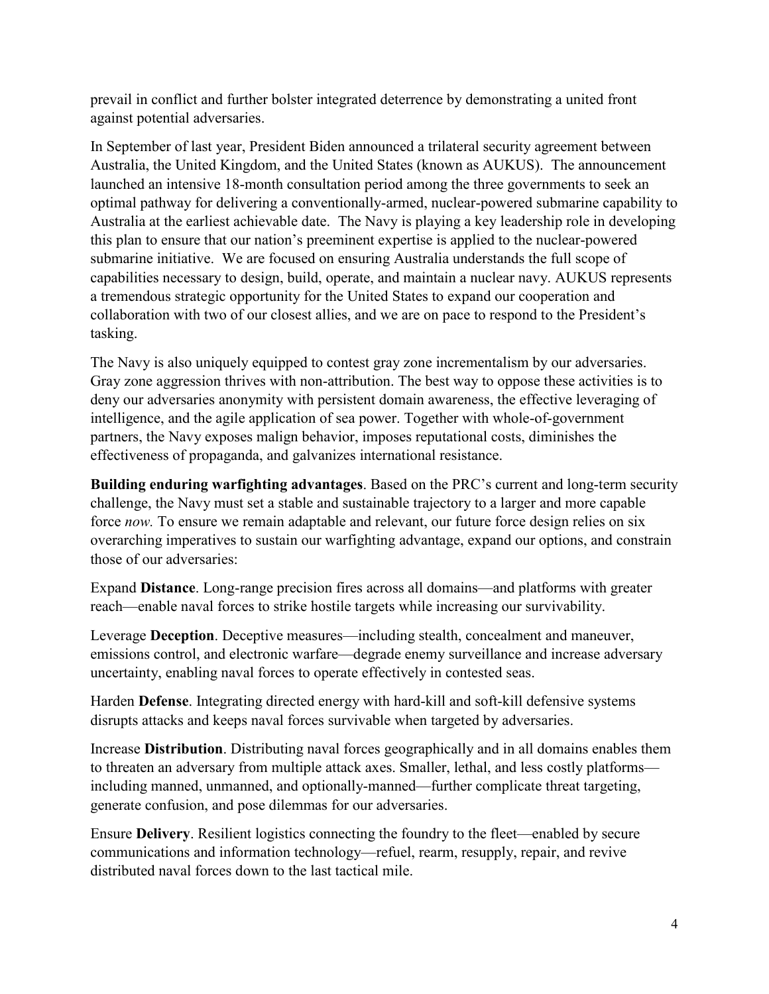prevail in conflict and further bolster integrated deterrence by demonstrating a united front against potential adversaries.

In September of last year, President Biden announced a trilateral security agreement between Australia, the United Kingdom, and the United States (known as AUKUS). The announcement launched an intensive 18-month consultation period among the three governments to seek an optimal pathway for delivering a conventionally-armed, nuclear-powered submarine capability to Australia at the earliest achievable date. The Navy is playing a key leadership role in developing this plan to ensure that our nation's preeminent expertise is applied to the nuclear-powered submarine initiative. We are focused on ensuring Australia understands the full scope of capabilities necessary to design, build, operate, and maintain a nuclear navy. AUKUS represents a tremendous strategic opportunity for the United States to expand our cooperation and collaboration with two of our closest allies, and we are on pace to respond to the President's tasking.

The Navy is also uniquely equipped to contest gray zone incrementalism by our adversaries. Gray zone aggression thrives with non-attribution. The best way to oppose these activities is to deny our adversaries anonymity with persistent domain awareness, the effective leveraging of intelligence, and the agile application of sea power. Together with whole-of-government partners, the Navy exposes malign behavior, imposes reputational costs, diminishes the effectiveness of propaganda, and galvanizes international resistance.

**Building enduring warfighting advantages**. Based on the PRC's current and long-term security challenge, the Navy must set a stable and sustainable trajectory to a larger and more capable force *now.* To ensure we remain adaptable and relevant, our future force design relies on six overarching imperatives to sustain our warfighting advantage, expand our options, and constrain those of our adversaries:

Expand **Distance**. Long-range precision fires across all domains—and platforms with greater reach—enable naval forces to strike hostile targets while increasing our survivability.

Leverage **Deception**. Deceptive measures—including stealth, concealment and maneuver, emissions control, and electronic warfare—degrade enemy surveillance and increase adversary uncertainty, enabling naval forces to operate effectively in contested seas.

Harden **Defense**. Integrating directed energy with hard-kill and soft-kill defensive systems disrupts attacks and keeps naval forces survivable when targeted by adversaries.

Increase **Distribution**. Distributing naval forces geographically and in all domains enables them to threaten an adversary from multiple attack axes. Smaller, lethal, and less costly platforms including manned, unmanned, and optionally-manned—further complicate threat targeting, generate confusion, and pose dilemmas for our adversaries.

Ensure **Delivery**. Resilient logistics connecting the foundry to the fleet—enabled by secure communications and information technology—refuel, rearm, resupply, repair, and revive distributed naval forces down to the last tactical mile.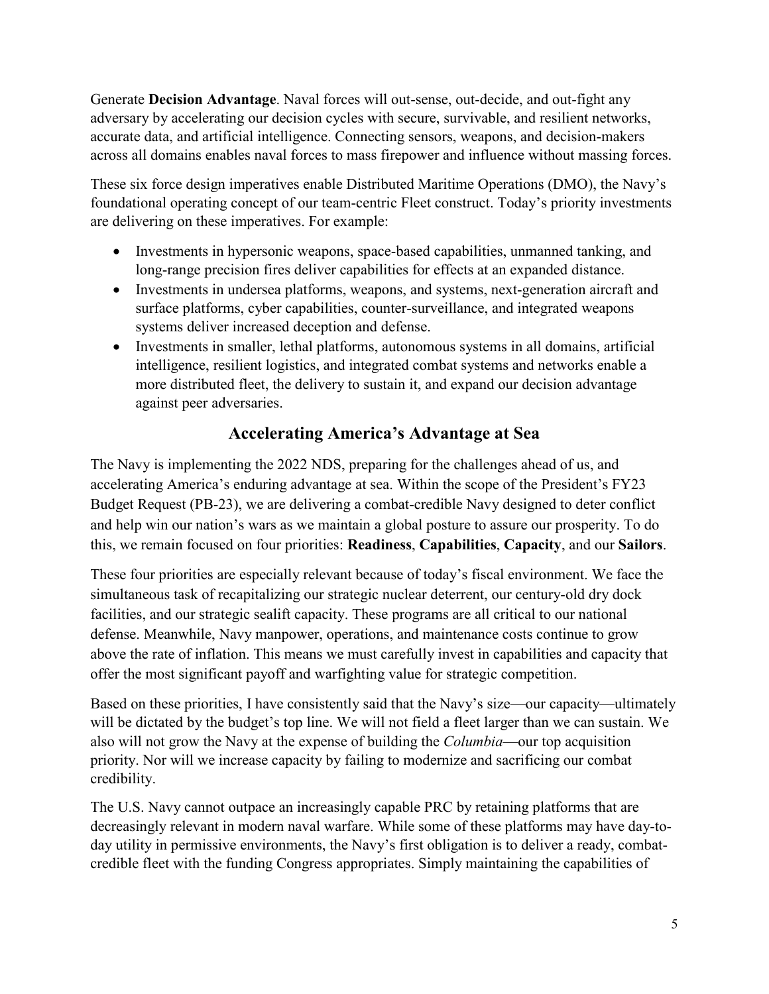Generate **Decision Advantage**. Naval forces will out-sense, out-decide, and out-fight any adversary by accelerating our decision cycles with secure, survivable, and resilient networks, accurate data, and artificial intelligence. Connecting sensors, weapons, and decision-makers across all domains enables naval forces to mass firepower and influence without massing forces.

These six force design imperatives enable Distributed Maritime Operations (DMO), the Navy's foundational operating concept of our team-centric Fleet construct. Today's priority investments are delivering on these imperatives. For example:

- Investments in hypersonic weapons, space-based capabilities, unmanned tanking, and long-range precision fires deliver capabilities for effects at an expanded distance.
- Investments in undersea platforms, weapons, and systems, next-generation aircraft and surface platforms, cyber capabilities, counter-surveillance, and integrated weapons systems deliver increased deception and defense.
- Investments in smaller, lethal platforms, autonomous systems in all domains, artificial intelligence, resilient logistics, and integrated combat systems and networks enable a more distributed fleet, the delivery to sustain it, and expand our decision advantage against peer adversaries.

# **Accelerating America's Advantage at Sea**

The Navy is implementing the 2022 NDS, preparing for the challenges ahead of us, and accelerating America's enduring advantage at sea. Within the scope of the President's FY23 Budget Request (PB-23), we are delivering a combat-credible Navy designed to deter conflict and help win our nation's wars as we maintain a global posture to assure our prosperity. To do this, we remain focused on four priorities: **Readiness**, **Capabilities**, **Capacity**, and our **Sailors**.

These four priorities are especially relevant because of today's fiscal environment. We face the simultaneous task of recapitalizing our strategic nuclear deterrent, our century-old dry dock facilities, and our strategic sealift capacity. These programs are all critical to our national defense. Meanwhile, Navy manpower, operations, and maintenance costs continue to grow above the rate of inflation. This means we must carefully invest in capabilities and capacity that offer the most significant payoff and warfighting value for strategic competition.

Based on these priorities, I have consistently said that the Navy's size—our capacity—ultimately will be dictated by the budget's top line. We will not field a fleet larger than we can sustain. We also will not grow the Navy at the expense of building the *Columbia*—our top acquisition priority. Nor will we increase capacity by failing to modernize and sacrificing our combat credibility.

The U.S. Navy cannot outpace an increasingly capable PRC by retaining platforms that are decreasingly relevant in modern naval warfare. While some of these platforms may have day-today utility in permissive environments, the Navy's first obligation is to deliver a ready, combatcredible fleet with the funding Congress appropriates. Simply maintaining the capabilities of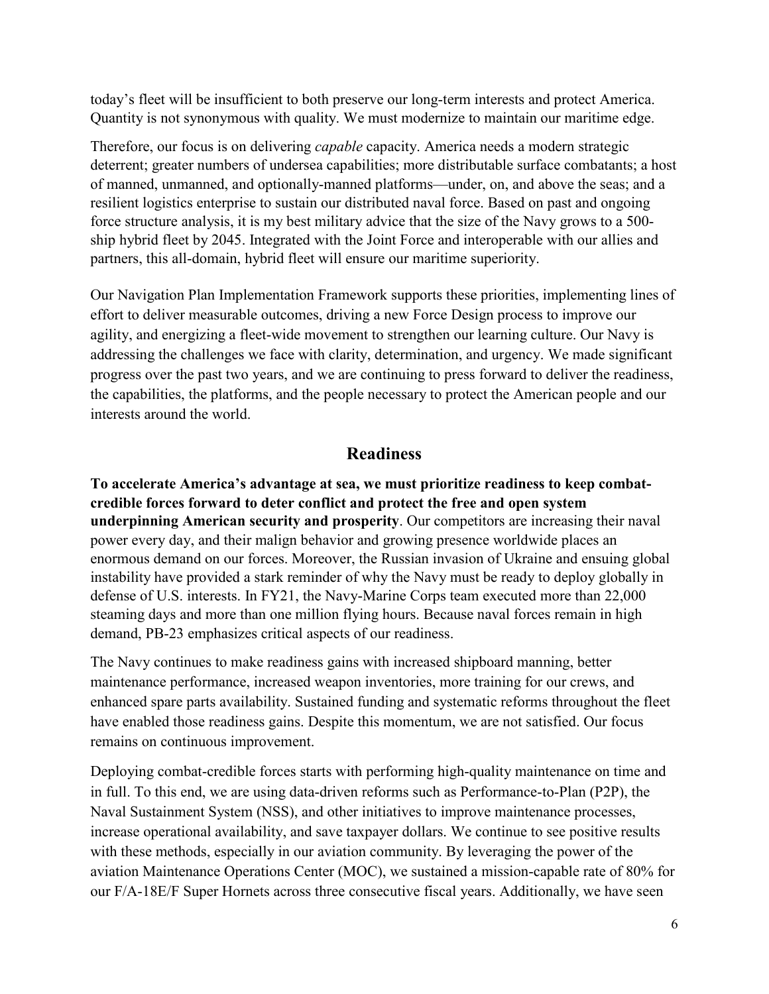today's fleet will be insufficient to both preserve our long-term interests and protect America. Quantity is not synonymous with quality. We must modernize to maintain our maritime edge.

Therefore, our focus is on delivering *capable* capacity. America needs a modern strategic deterrent; greater numbers of undersea capabilities; more distributable surface combatants; a host of manned, unmanned, and optionally-manned platforms—under, on, and above the seas; and a resilient logistics enterprise to sustain our distributed naval force. Based on past and ongoing force structure analysis, it is my best military advice that the size of the Navy grows to a 500 ship hybrid fleet by 2045. Integrated with the Joint Force and interoperable with our allies and partners, this all-domain, hybrid fleet will ensure our maritime superiority.

Our Navigation Plan Implementation Framework supports these priorities, implementing lines of effort to deliver measurable outcomes, driving a new Force Design process to improve our agility, and energizing a fleet-wide movement to strengthen our learning culture. Our Navy is addressing the challenges we face with clarity, determination, and urgency. We made significant progress over the past two years, and we are continuing to press forward to deliver the readiness, the capabilities, the platforms, and the people necessary to protect the American people and our interests around the world.

## **Readiness**

**To accelerate America's advantage at sea, we must prioritize readiness to keep combatcredible forces forward to deter conflict and protect the free and open system underpinning American security and prosperity**. Our competitors are increasing their naval power every day, and their malign behavior and growing presence worldwide places an enormous demand on our forces. Moreover, the Russian invasion of Ukraine and ensuing global instability have provided a stark reminder of why the Navy must be ready to deploy globally in defense of U.S. interests. In FY21, the Navy-Marine Corps team executed more than 22,000 steaming days and more than one million flying hours. Because naval forces remain in high demand, PB-23 emphasizes critical aspects of our readiness.

The Navy continues to make readiness gains with increased shipboard manning, better maintenance performance, increased weapon inventories, more training for our crews, and enhanced spare parts availability. Sustained funding and systematic reforms throughout the fleet have enabled those readiness gains. Despite this momentum, we are not satisfied. Our focus remains on continuous improvement.

Deploying combat-credible forces starts with performing high-quality maintenance on time and in full. To this end, we are using data-driven reforms such as Performance-to-Plan (P2P), the Naval Sustainment System (NSS), and other initiatives to improve maintenance processes, increase operational availability, and save taxpayer dollars. We continue to see positive results with these methods, especially in our aviation community. By leveraging the power of the aviation Maintenance Operations Center (MOC), we sustained a mission-capable rate of 80% for our F/A-18E/F Super Hornets across three consecutive fiscal years. Additionally, we have seen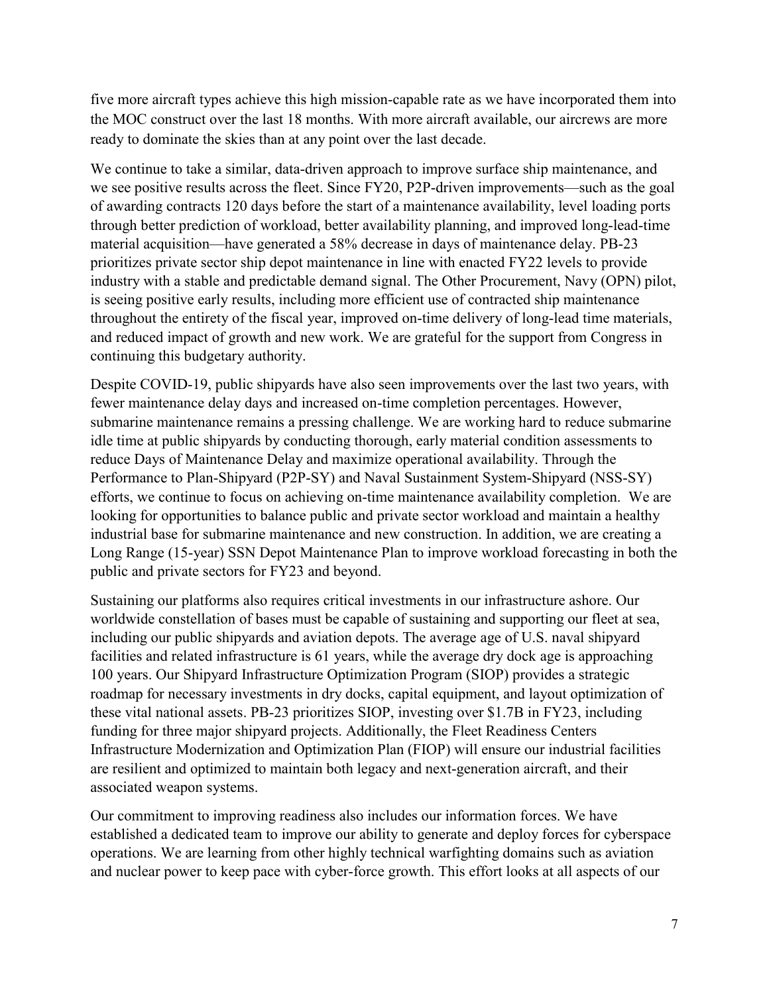five more aircraft types achieve this high mission-capable rate as we have incorporated them into the MOC construct over the last 18 months. With more aircraft available, our aircrews are more ready to dominate the skies than at any point over the last decade.

We continue to take a similar, data-driven approach to improve surface ship maintenance, and we see positive results across the fleet. Since FY20, P2P-driven improvements—such as the goal of awarding contracts 120 days before the start of a maintenance availability, level loading ports through better prediction of workload, better availability planning, and improved long-lead-time material acquisition—have generated a 58% decrease in days of maintenance delay. PB-23 prioritizes private sector ship depot maintenance in line with enacted FY22 levels to provide industry with a stable and predictable demand signal. The Other Procurement, Navy (OPN) pilot, is seeing positive early results, including more efficient use of contracted ship maintenance throughout the entirety of the fiscal year, improved on-time delivery of long-lead time materials, and reduced impact of growth and new work. We are grateful for the support from Congress in continuing this budgetary authority.

Despite COVID-19, public shipyards have also seen improvements over the last two years, with fewer maintenance delay days and increased on-time completion percentages. However, submarine maintenance remains a pressing challenge. We are working hard to reduce submarine idle time at public shipyards by conducting thorough, early material condition assessments to reduce Days of Maintenance Delay and maximize operational availability. Through the Performance to Plan-Shipyard (P2P-SY) and Naval Sustainment System-Shipyard (NSS-SY) efforts, we continue to focus on achieving on-time maintenance availability completion. We are looking for opportunities to balance public and private sector workload and maintain a healthy industrial base for submarine maintenance and new construction. In addition, we are creating a Long Range (15-year) SSN Depot Maintenance Plan to improve workload forecasting in both the public and private sectors for FY23 and beyond.

Sustaining our platforms also requires critical investments in our infrastructure ashore. Our worldwide constellation of bases must be capable of sustaining and supporting our fleet at sea, including our public shipyards and aviation depots. The average age of U.S. naval shipyard facilities and related infrastructure is 61 years, while the average dry dock age is approaching 100 years. Our Shipyard Infrastructure Optimization Program (SIOP) provides a strategic roadmap for necessary investments in dry docks, capital equipment, and layout optimization of these vital national assets. PB-23 prioritizes SIOP, investing over \$1.7B in FY23, including funding for three major shipyard projects. Additionally, the Fleet Readiness Centers Infrastructure Modernization and Optimization Plan (FIOP) will ensure our industrial facilities are resilient and optimized to maintain both legacy and next-generation aircraft, and their associated weapon systems.

Our commitment to improving readiness also includes our information forces. We have established a dedicated team to improve our ability to generate and deploy forces for cyberspace operations. We are learning from other highly technical warfighting domains such as aviation and nuclear power to keep pace with cyber-force growth. This effort looks at all aspects of our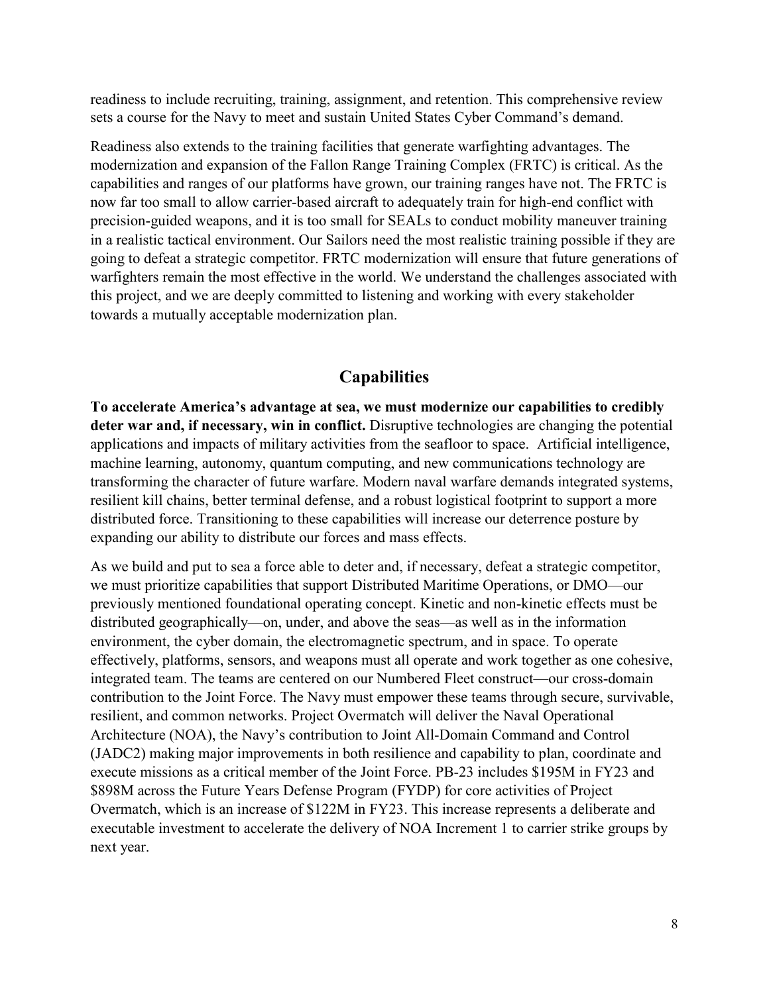readiness to include recruiting, training, assignment, and retention. This comprehensive review sets a course for the Navy to meet and sustain United States Cyber Command's demand.

Readiness also extends to the training facilities that generate warfighting advantages. The modernization and expansion of the Fallon Range Training Complex (FRTC) is critical. As the capabilities and ranges of our platforms have grown, our training ranges have not. The FRTC is now far too small to allow carrier-based aircraft to adequately train for high-end conflict with precision-guided weapons, and it is too small for SEALs to conduct mobility maneuver training in a realistic tactical environment. Our Sailors need the most realistic training possible if they are going to defeat a strategic competitor. FRTC modernization will ensure that future generations of warfighters remain the most effective in the world. We understand the challenges associated with this project, and we are deeply committed to listening and working with every stakeholder towards a mutually acceptable modernization plan.

### **Capabilities**

**To accelerate America's advantage at sea, we must modernize our capabilities to credibly deter war and, if necessary, win in conflict.** Disruptive technologies are changing the potential applications and impacts of military activities from the seafloor to space. Artificial intelligence, machine learning, autonomy, quantum computing, and new communications technology are transforming the character of future warfare. Modern naval warfare demands integrated systems, resilient kill chains, better terminal defense, and a robust logistical footprint to support a more distributed force. Transitioning to these capabilities will increase our deterrence posture by expanding our ability to distribute our forces and mass effects.

As we build and put to sea a force able to deter and, if necessary, defeat a strategic competitor, we must prioritize capabilities that support Distributed Maritime Operations, or DMO—our previously mentioned foundational operating concept. Kinetic and non-kinetic effects must be distributed geographically—on, under, and above the seas—as well as in the information environment, the cyber domain, the electromagnetic spectrum, and in space. To operate effectively, platforms, sensors, and weapons must all operate and work together as one cohesive, integrated team. The teams are centered on our Numbered Fleet construct—our cross-domain contribution to the Joint Force. The Navy must empower these teams through secure, survivable, resilient, and common networks. Project Overmatch will deliver the Naval Operational Architecture (NOA), the Navy's contribution to Joint All-Domain Command and Control (JADC2) making major improvements in both resilience and capability to plan, coordinate and execute missions as a critical member of the Joint Force. PB-23 includes \$195M in FY23 and \$898M across the Future Years Defense Program (FYDP) for core activities of Project Overmatch, which is an increase of \$122M in FY23. This increase represents a deliberate and executable investment to accelerate the delivery of NOA Increment 1 to carrier strike groups by next year.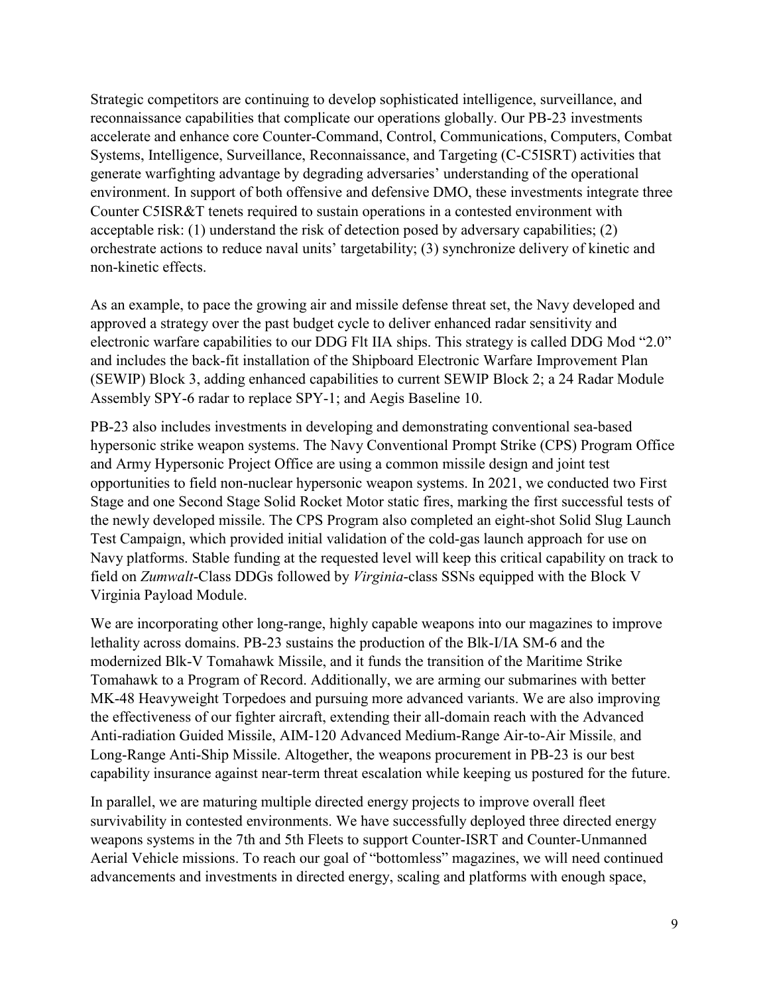Strategic competitors are continuing to develop sophisticated intelligence, surveillance, and reconnaissance capabilities that complicate our operations globally. Our PB-23 investments accelerate and enhance core Counter-Command, Control, Communications, Computers, Combat Systems, Intelligence, Surveillance, Reconnaissance, and Targeting (C-C5ISRT) activities that generate warfighting advantage by degrading adversaries' understanding of the operational environment. In support of both offensive and defensive DMO, these investments integrate three Counter C5ISR&T tenets required to sustain operations in a contested environment with acceptable risk: (1) understand the risk of detection posed by adversary capabilities; (2) orchestrate actions to reduce naval units' targetability; (3) synchronize delivery of kinetic and non-kinetic effects.

As an example, to pace the growing air and missile defense threat set, the Navy developed and approved a strategy over the past budget cycle to deliver enhanced radar sensitivity and electronic warfare capabilities to our DDG Flt IIA ships. This strategy is called DDG Mod "2.0" and includes the back-fit installation of the Shipboard Electronic Warfare Improvement Plan (SEWIP) Block 3, adding enhanced capabilities to current SEWIP Block 2; a 24 Radar Module Assembly SPY-6 radar to replace SPY-1; and Aegis Baseline 10.

PB-23 also includes investments in developing and demonstrating conventional sea-based hypersonic strike weapon systems. The Navy Conventional Prompt Strike (CPS) Program Office and Army Hypersonic Project Office are using a common missile design and joint test opportunities to field non-nuclear hypersonic weapon systems. In 2021, we conducted two First Stage and one Second Stage Solid Rocket Motor static fires, marking the first successful tests of the newly developed missile. The CPS Program also completed an eight-shot Solid Slug Launch Test Campaign, which provided initial validation of the cold-gas launch approach for use on Navy platforms. Stable funding at the requested level will keep this critical capability on track to field on *Zumwalt*-Class DDGs followed by *Virginia*-class SSNs equipped with the Block V Virginia Payload Module.

We are incorporating other long-range, highly capable weapons into our magazines to improve lethality across domains. PB-23 sustains the production of the Blk-I/IA SM-6 and the modernized Blk-V Tomahawk Missile, and it funds the transition of the Maritime Strike Tomahawk to a Program of Record. Additionally, we are arming our submarines with better MK-48 Heavyweight Torpedoes and pursuing more advanced variants. We are also improving the effectiveness of our fighter aircraft, extending their all-domain reach with the Advanced Anti-radiation Guided Missile, AIM-120 Advanced Medium-Range Air-to-Air Missile, and Long-Range Anti-Ship Missile. Altogether, the weapons procurement in PB-23 is our best capability insurance against near-term threat escalation while keeping us postured for the future.

In parallel, we are maturing multiple directed energy projects to improve overall fleet survivability in contested environments. We have successfully deployed three directed energy weapons systems in the 7th and 5th Fleets to support Counter-ISRT and Counter-Unmanned Aerial Vehicle missions. To reach our goal of "bottomless" magazines, we will need continued advancements and investments in directed energy, scaling and platforms with enough space,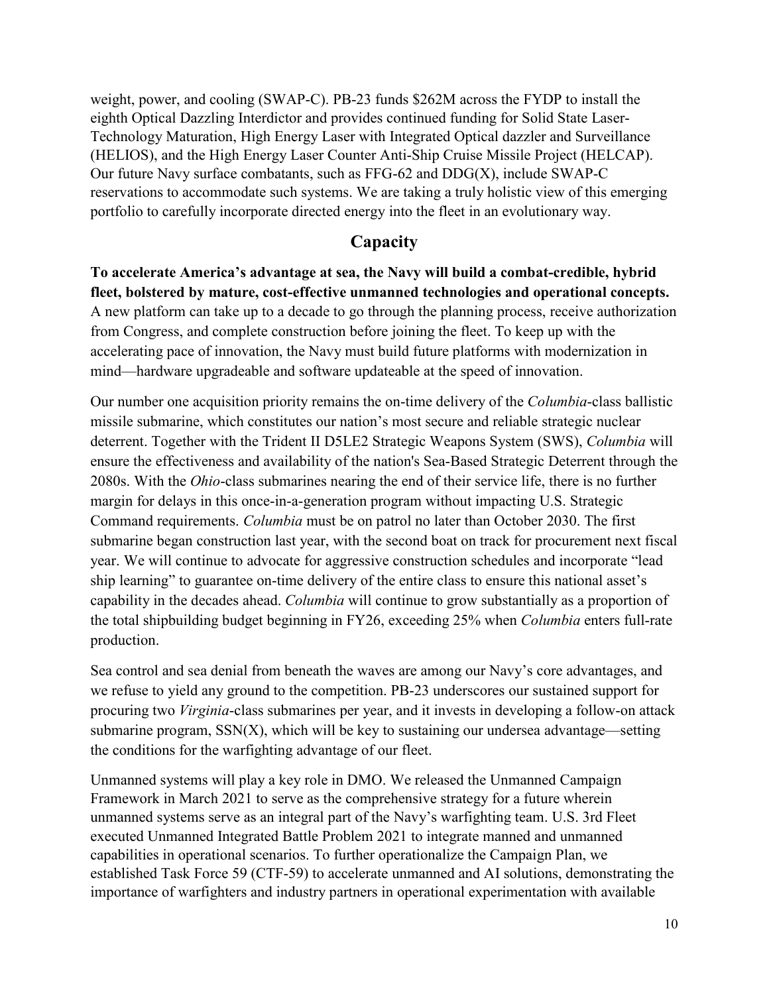weight, power, and cooling (SWAP-C). PB-23 funds \$262M across the FYDP to install the eighth Optical Dazzling Interdictor and provides continued funding for Solid State Laser-Technology Maturation, High Energy Laser with Integrated Optical dazzler and Surveillance (HELIOS), and the High Energy Laser Counter Anti-Ship Cruise Missile Project (HELCAP). Our future Navy surface combatants, such as FFG-62 and DDG(X), include SWAP-C reservations to accommodate such systems. We are taking a truly holistic view of this emerging portfolio to carefully incorporate directed energy into the fleet in an evolutionary way.

## **Capacity**

**To accelerate America's advantage at sea, the Navy will build a combat-credible, hybrid fleet, bolstered by mature, cost-effective unmanned technologies and operational concepts.**  A new platform can take up to a decade to go through the planning process, receive authorization from Congress, and complete construction before joining the fleet. To keep up with the accelerating pace of innovation, the Navy must build future platforms with modernization in mind—hardware upgradeable and software updateable at the speed of innovation.

Our number one acquisition priority remains the on-time delivery of the *Columbia*-class ballistic missile submarine, which constitutes our nation's most secure and reliable strategic nuclear deterrent. Together with the Trident II D5LE2 Strategic Weapons System (SWS), *Columbia* will ensure the effectiveness and availability of the nation's Sea-Based Strategic Deterrent through the 2080s. With the *Ohio*-class submarines nearing the end of their service life, there is no further margin for delays in this once-in-a-generation program without impacting U.S. Strategic Command requirements. *Columbia* must be on patrol no later than October 2030. The first submarine began construction last year, with the second boat on track for procurement next fiscal year. We will continue to advocate for aggressive construction schedules and incorporate "lead ship learning" to guarantee on-time delivery of the entire class to ensure this national asset's capability in the decades ahead. *Columbia* will continue to grow substantially as a proportion of the total shipbuilding budget beginning in FY26, exceeding 25% when *Columbia* enters full-rate production.

Sea control and sea denial from beneath the waves are among our Navy's core advantages, and we refuse to yield any ground to the competition. PB-23 underscores our sustained support for procuring two *Virginia*-class submarines per year, and it invests in developing a follow-on attack submarine program,  $SSN(X)$ , which will be key to sustaining our undersea advantage—setting the conditions for the warfighting advantage of our fleet.

Unmanned systems will play a key role in DMO. We released the Unmanned Campaign Framework in March 2021 to serve as the comprehensive strategy for a future wherein unmanned systems serve as an integral part of the Navy's warfighting team. U.S. 3rd Fleet executed Unmanned Integrated Battle Problem 2021 to integrate manned and unmanned capabilities in operational scenarios. To further operationalize the Campaign Plan, we established Task Force 59 (CTF-59) to accelerate unmanned and AI solutions, demonstrating the importance of warfighters and industry partners in operational experimentation with available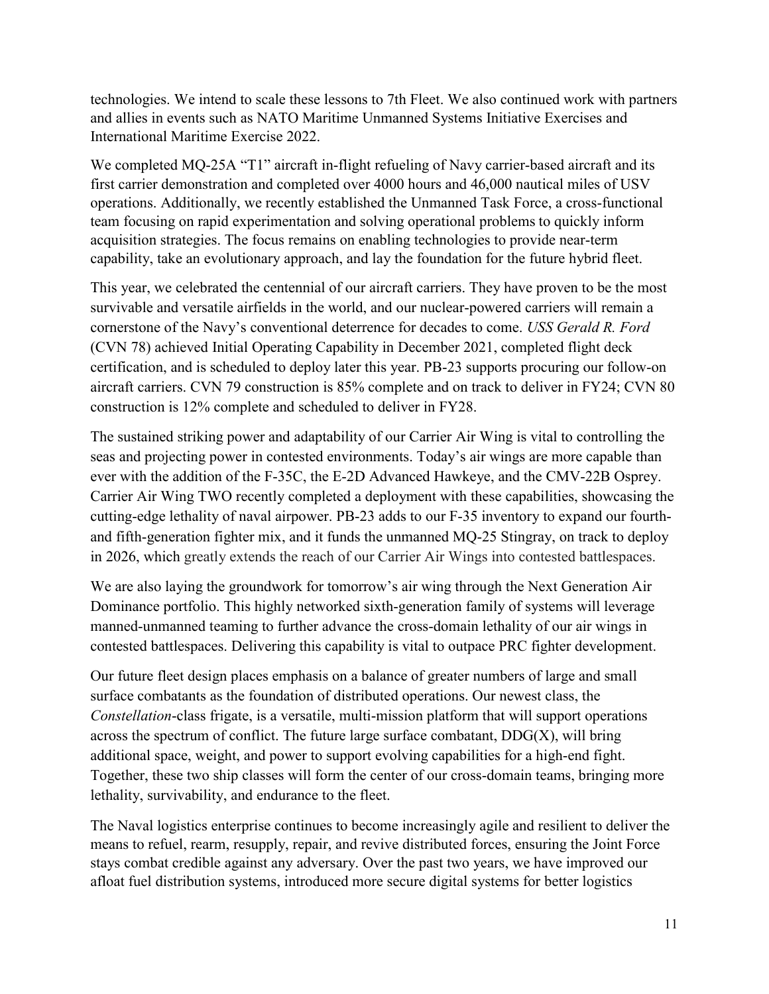technologies. We intend to scale these lessons to 7th Fleet. We also continued work with partners and allies in events such as NATO Maritime Unmanned Systems Initiative Exercises and International Maritime Exercise 2022.

We completed MQ-25A "T1" aircraft in-flight refueling of Navy carrier-based aircraft and its first carrier demonstration and completed over 4000 hours and 46,000 nautical miles of USV operations. Additionally, we recently established the Unmanned Task Force, a cross-functional team focusing on rapid experimentation and solving operational problems to quickly inform acquisition strategies. The focus remains on enabling technologies to provide near-term capability, take an evolutionary approach, and lay the foundation for the future hybrid fleet.

This year, we celebrated the centennial of our aircraft carriers. They have proven to be the most survivable and versatile airfields in the world, and our nuclear-powered carriers will remain a cornerstone of the Navy's conventional deterrence for decades to come. *USS Gerald R. Ford* (CVN 78) achieved Initial Operating Capability in December 2021, completed flight deck certification, and is scheduled to deploy later this year. PB-23 supports procuring our follow-on aircraft carriers. CVN 79 construction is 85% complete and on track to deliver in FY24; CVN 80 construction is 12% complete and scheduled to deliver in FY28.

The sustained striking power and adaptability of our Carrier Air Wing is vital to controlling the seas and projecting power in contested environments. Today's air wings are more capable than ever with the addition of the F-35C, the E-2D Advanced Hawkeye, and the CMV-22B Osprey. Carrier Air Wing TWO recently completed a deployment with these capabilities, showcasing the cutting-edge lethality of naval airpower. PB-23 adds to our F-35 inventory to expand our fourthand fifth-generation fighter mix, and it funds the unmanned MQ-25 Stingray, on track to deploy in 2026, which greatly extends the reach of our Carrier Air Wings into contested battlespaces.

We are also laying the groundwork for tomorrow's air wing through the Next Generation Air Dominance portfolio. This highly networked sixth-generation family of systems will leverage manned-unmanned teaming to further advance the cross-domain lethality of our air wings in contested battlespaces. Delivering this capability is vital to outpace PRC fighter development.

Our future fleet design places emphasis on a balance of greater numbers of large and small surface combatants as the foundation of distributed operations. Our newest class, the *Constellation*-class frigate, is a versatile, multi-mission platform that will support operations across the spectrum of conflict. The future large surface combatant,  $DDG(X)$ , will bring additional space, weight, and power to support evolving capabilities for a high-end fight. Together, these two ship classes will form the center of our cross-domain teams, bringing more lethality, survivability, and endurance to the fleet.

The Naval logistics enterprise continues to become increasingly agile and resilient to deliver the means to refuel, rearm, resupply, repair, and revive distributed forces, ensuring the Joint Force stays combat credible against any adversary. Over the past two years, we have improved our afloat fuel distribution systems, introduced more secure digital systems for better logistics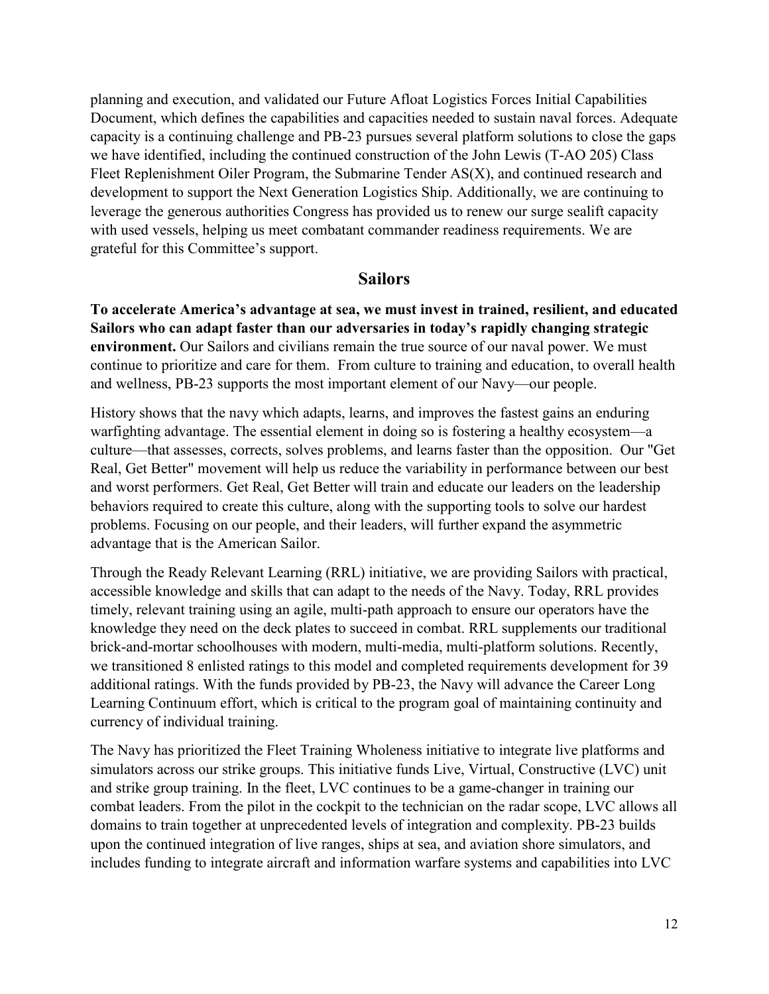planning and execution, and validated our Future Afloat Logistics Forces Initial Capabilities Document, which defines the capabilities and capacities needed to sustain naval forces. Adequate capacity is a continuing challenge and PB-23 pursues several platform solutions to close the gaps we have identified, including the continued construction of the John Lewis (T-AO 205) Class Fleet Replenishment Oiler Program, the Submarine Tender AS(X), and continued research and development to support the Next Generation Logistics Ship. Additionally, we are continuing to leverage the generous authorities Congress has provided us to renew our surge sealift capacity with used vessels, helping us meet combatant commander readiness requirements. We are grateful for this Committee's support.

#### **Sailors**

**To accelerate America's advantage at sea, we must invest in trained, resilient, and educated Sailors who can adapt faster than our adversaries in today's rapidly changing strategic environment.** Our Sailors and civilians remain the true source of our naval power. We must continue to prioritize and care for them. From culture to training and education, to overall health and wellness, PB-23 supports the most important element of our Navy—our people.

History shows that the navy which adapts, learns, and improves the fastest gains an enduring warfighting advantage. The essential element in doing so is fostering a healthy ecosystem—a culture—that assesses, corrects, solves problems, and learns faster than the opposition. Our "Get Real, Get Better" movement will help us reduce the variability in performance between our best and worst performers. Get Real, Get Better will train and educate our leaders on the leadership behaviors required to create this culture, along with the supporting tools to solve our hardest problems. Focusing on our people, and their leaders, will further expand the asymmetric advantage that is the American Sailor.

Through the Ready Relevant Learning (RRL) initiative, we are providing Sailors with practical, accessible knowledge and skills that can adapt to the needs of the Navy. Today, RRL provides timely, relevant training using an agile, multi-path approach to ensure our operators have the knowledge they need on the deck plates to succeed in combat. RRL supplements our traditional brick-and-mortar schoolhouses with modern, multi-media, multi-platform solutions. Recently, we transitioned 8 enlisted ratings to this model and completed requirements development for 39 additional ratings. With the funds provided by PB-23, the Navy will advance the Career Long Learning Continuum effort, which is critical to the program goal of maintaining continuity and currency of individual training.

The Navy has prioritized the Fleet Training Wholeness initiative to integrate live platforms and simulators across our strike groups. This initiative funds Live, Virtual, Constructive (LVC) unit and strike group training. In the fleet, LVC continues to be a game-changer in training our combat leaders. From the pilot in the cockpit to the technician on the radar scope, LVC allows all domains to train together at unprecedented levels of integration and complexity. PB-23 builds upon the continued integration of live ranges, ships at sea, and aviation shore simulators, and includes funding to integrate aircraft and information warfare systems and capabilities into LVC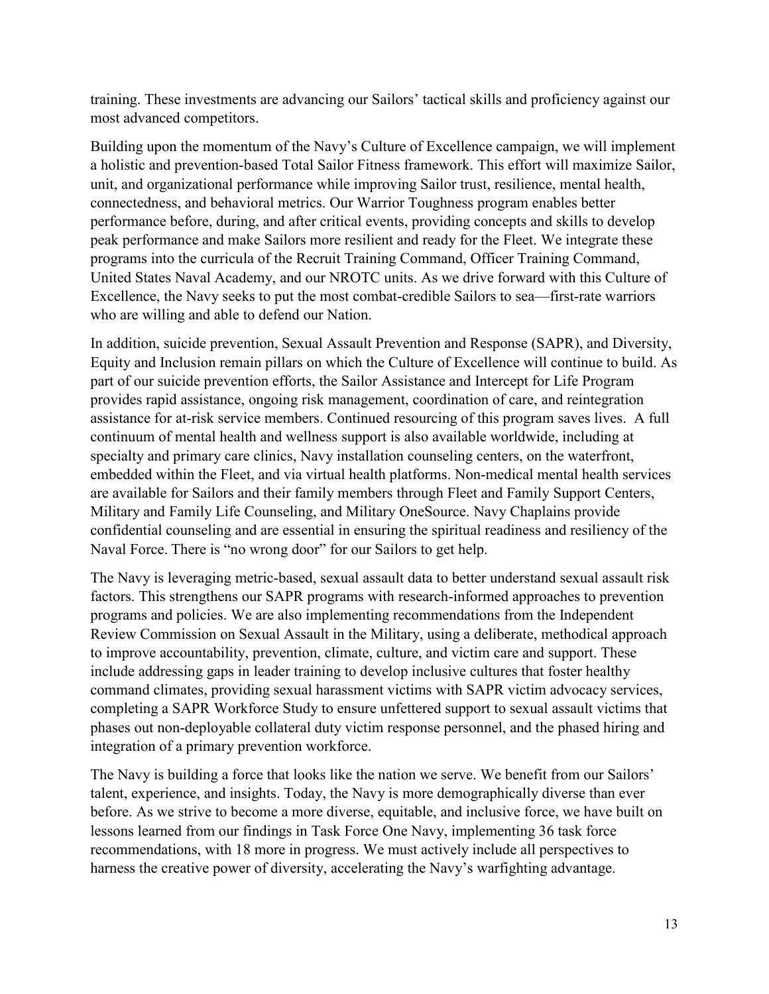training. These investments are advancing our Sailors' tactical skills and proficiency against our most advanced competitors.

Building upon the momentum of the Navy's Culture of Excellence campaign, we will implement a holistic and prevention-based Total Sailor Fitness framework. This effort will maximize Sailor, unit, and organizational performance while improving Sailor trust, resilience, mental health, connectedness, and behavioral metrics. Our Warrior Toughness program enables better performance before, during, and after critical events, providing concepts and skills to develop peak performance and make Sailors more resilient and ready for the Fleet. We integrate these programs into the curricula of the Recruit Training Command, Officer Training Command, United States Naval Academy, and our NROTC units. As we drive forward with this Culture of Excellence, the Navy seeks to put the most combat-credible Sailors to sea—first-rate warriors who are willing and able to defend our Nation.

In addition, suicide prevention, Sexual Assault Prevention and Response (SAPR), and Diversity, Equity and Inclusion remain pillars on which the Culture of Excellence will continue to build. As part of our suicide prevention efforts, the Sailor Assistance and Intercept for Life Program provides rapid assistance, ongoing risk management, coordination of care, and reintegration assistance for at-risk service members. Continued resourcing of this program saves lives. A full continuum of mental health and wellness support is also available worldwide, including at specialty and primary care clinics, Navy installation counseling centers, on the waterfront, embedded within the Fleet, and via virtual health platforms. Non-medical mental health services are available for Sailors and their family members through Fleet and Family Support Centers, Military and Family Life Counseling, and Military OneSource. Navy Chaplains provide confidential counseling and are essential in ensuring the spiritual readiness and resiliency of the Naval Force. There is "no wrong door" for our Sailors to get help.

The Navy is leveraging metric-based, sexual assault data to better understand sexual assault risk factors. This strengthens our SAPR programs with research-informed approaches to prevention programs and policies. We are also implementing recommendations from the Independent Review Commission on Sexual Assault in the Military, using a deliberate, methodical approach to improve accountability, prevention, climate, culture, and victim care and support. These include addressing gaps in leader training to develop inclusive cultures that foster healthy command climates, providing sexual harassment victims with SAPR victim advocacy services, completing a SAPR Workforce Study to ensure unfettered support to sexual assault victims that phases out non-deployable collateral duty victim response personnel, and the phased hiring and integration of a primary prevention workforce.

The Navy is building a force that looks like the nation we serve. We benefit from our Sailors' talent, experience, and insights. Today, the Navy is more demographically diverse than ever before. As we strive to become a more diverse, equitable, and inclusive force, we have built on lessons learned from our findings in Task Force One Navy, implementing 36 task force recommendations, with 18 more in progress. We must actively include all perspectives to harness the creative power of diversity, accelerating the Navy's warfighting advantage.